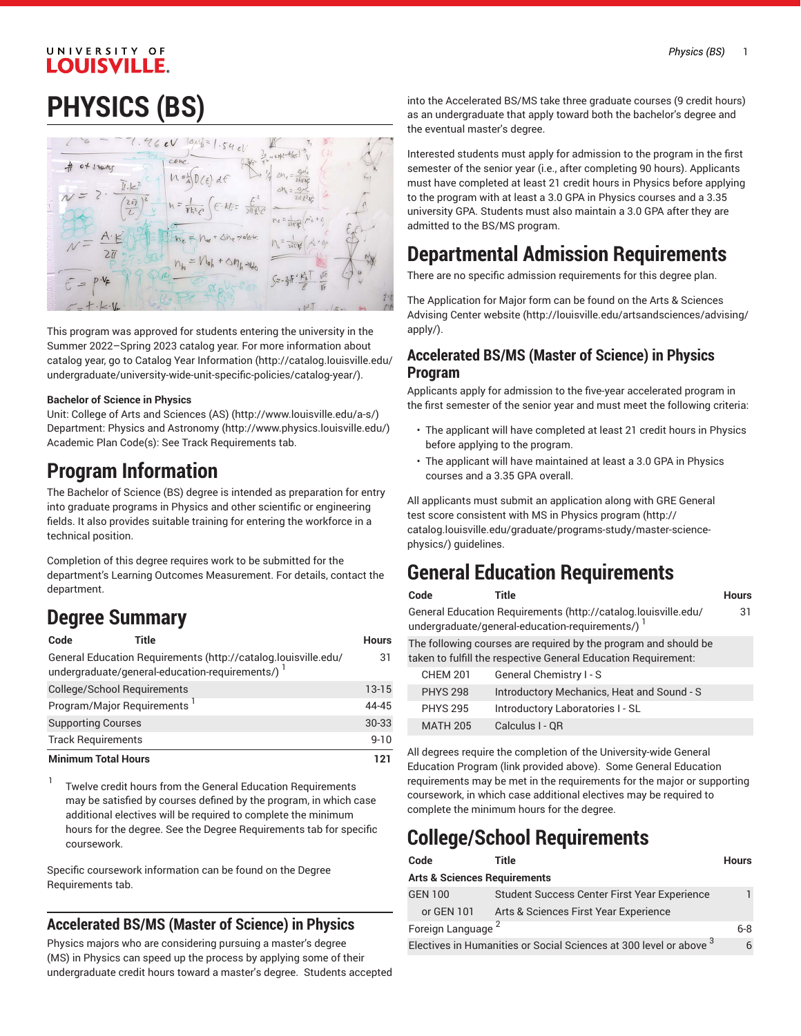# **PHYSICS (BS)**



This program was approved for students entering the university in the Summer 2022–Spring 2023 catalog year. For more information about catalog year, go to Catalog Year [Information](http://catalog.louisville.edu/undergraduate/university-wide-unit-specific-policies/catalog-year/) ([http://catalog.louisville.edu/](http://catalog.louisville.edu/undergraduate/university-wide-unit-specific-policies/catalog-year/) [undergraduate/university-wide-unit-specific-policies/catalog-year/](http://catalog.louisville.edu/undergraduate/university-wide-unit-specific-policies/catalog-year/)).

#### **Bachelor of Science in Physics**

Unit: College of Arts and [Sciences](http://www.louisville.edu/a-s/) (AS) (<http://www.louisville.edu/a-s/>) Department: Physics and [Astronomy \(http://www.physics.louisville.edu/](http://www.physics.louisville.edu/)) Academic Plan Code(s): See Track Requirements tab.

## **Program Information**

The Bachelor of Science (BS) degree is intended as preparation for entry into graduate programs in Physics and other scientific or engineering fields. It also provides suitable training for entering the workforce in a technical position.

Completion of this degree requires work to be submitted for the department's Learning Outcomes Measurement. For details, contact the department.

# **Degree Summary**

| Code                                    | Title                                                                                                            | <b>Hours</b> |
|-----------------------------------------|------------------------------------------------------------------------------------------------------------------|--------------|
|                                         | General Education Requirements (http://catalog.louisville.edu/<br>undergraduate/general-education-requirements/) | 31           |
| <b>College/School Requirements</b>      |                                                                                                                  | $13-15$      |
| Program/Major Requirements <sup>1</sup> |                                                                                                                  | 44-45        |
| <b>Supporting Courses</b>               |                                                                                                                  | $30 - 33$    |
| <b>Track Requirements</b>               |                                                                                                                  | $9 - 10$     |
| <b>Minimum Total Hours</b>              |                                                                                                                  | 121          |

1 Twelve credit hours from the General Education Requirements may be satisfied by courses defined by the program, in which case additional electives will be required to complete the minimum hours for the degree. See the Degree Requirements tab for specific coursework.

Specific coursework information can be found on the Degree Requirements tab.

#### **Accelerated BS/MS (Master of Science) in Physics**

Physics majors who are considering pursuing a master's degree (MS) in Physics can speed up the process by applying some of their undergraduate credit hours toward a master's degree. Students accepted into the Accelerated BS/MS take three graduate courses (9 credit hours) as an undergraduate that apply toward both the bachelor's degree and the eventual master's degree.

Interested students must apply for admission to the program in the first semester of the senior year (i.e., after completing 90 hours). Applicants must have completed at least 21 credit hours in Physics before applying to the program with at least a 3.0 GPA in Physics courses and a 3.35 university GPA. Students must also maintain a 3.0 GPA after they are admitted to the BS/MS program.

## **Departmental Admission Requirements**

There are no specific admission requirements for this degree plan.

The Application for Major form can be found on the Arts & [Sciences](http://louisville.edu/artsandsciences/advising/apply/) [Advising Center website](http://louisville.edu/artsandsciences/advising/apply/) ([http://louisville.edu/artsandsciences/advising/](http://louisville.edu/artsandsciences/advising/apply/) [apply/](http://louisville.edu/artsandsciences/advising/apply/)).

#### **Accelerated BS/MS (Master of Science) in Physics Program**

Applicants apply for admission to the five-year accelerated program in the first semester of the senior year and must meet the following criteria:

- The applicant will have completed at least 21 credit hours in Physics before applying to the program.
- The applicant will have maintained at least a 3.0 GPA in Physics courses and a 3.35 GPA overall.

All applicants must submit an application along with GRE General test score consistent with MS in Physics [program \(http://](http://catalog.louisville.edu/graduate/programs-study/master-science-physics/) [catalog.louisville.edu/graduate/programs-study/master-science](http://catalog.louisville.edu/graduate/programs-study/master-science-physics/)[physics/](http://catalog.louisville.edu/graduate/programs-study/master-science-physics/)) guidelines.

# **General Education Requirements**

| Code |  | Title |  |  |       |  | <b>Hours</b> |
|------|--|-------|--|--|-------|--|--------------|
|      |  |       |  |  | $  -$ |  |              |

31

General Education [Requirements](http://catalog.louisville.edu/undergraduate/general-education-requirements/) ([http://catalog.louisville.edu/](http://catalog.louisville.edu/undergraduate/general-education-requirements/) [undergraduate/general-education-requirements/](http://catalog.louisville.edu/undergraduate/general-education-requirements/))  $^{\mathrm{1}}$ 

The following courses are required by the program and should be taken to fulfill the respective General Education Requirement:

| <b>CHEM 201</b> | General Chemistry I - S                    |
|-----------------|--------------------------------------------|
| <b>PHYS 298</b> | Introductory Mechanics, Heat and Sound - S |
| <b>PHYS 295</b> | Introductory Laboratories I - SL           |
| <b>MATH 205</b> | Calculus I - QR                            |
|                 |                                            |

All degrees require the completion of the University-wide General Education Program (link provided above). Some General Education requirements may be met in the requirements for the major or supporting coursework, in which case additional electives may be required to complete the minimum hours for the degree.

# **College/School Requirements**

| Code                                                               | Title                                        | <b>Hours</b> |
|--------------------------------------------------------------------|----------------------------------------------|--------------|
| <b>Arts &amp; Sciences Requirements</b>                            |                                              |              |
| <b>GEN 100</b>                                                     | Student Success Center First Year Experience |              |
| or GEN 101                                                         | Arts & Sciences First Year Experience        |              |
| Foreign Language <sup>2</sup>                                      |                                              | $6 - 8$      |
| Electives in Humanities or Social Sciences at 300 level or above 3 |                                              |              |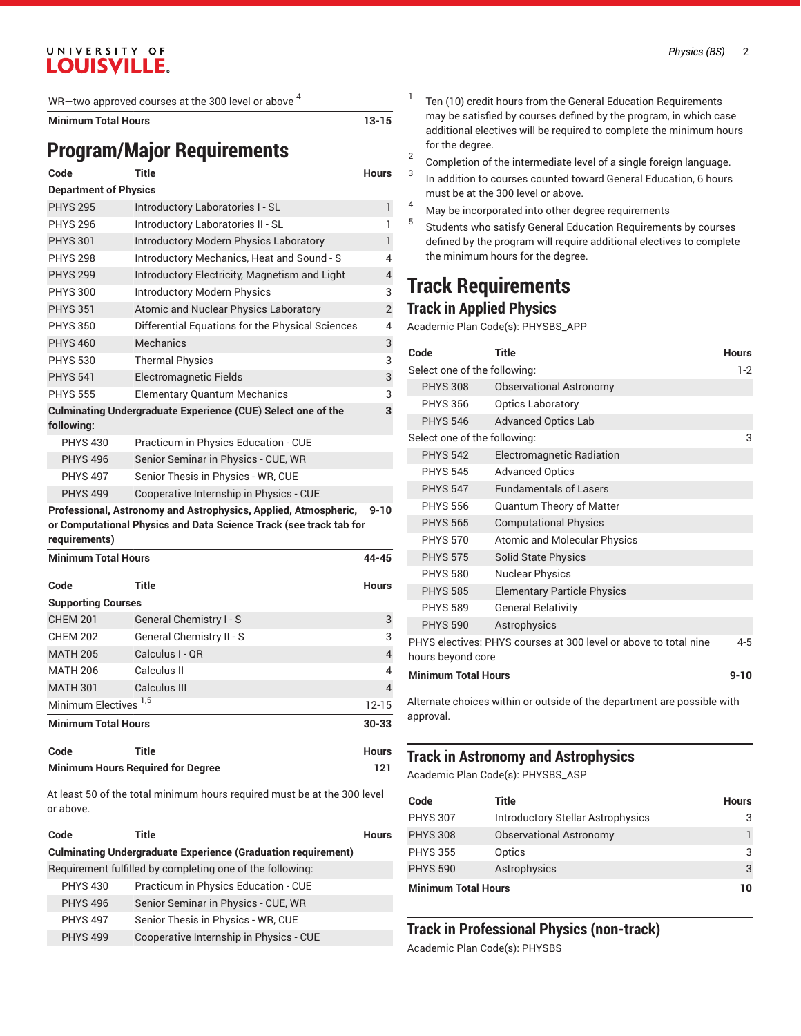WR—two approved courses at the 300 level or above  $^4$ 

**Minimum Total Hours 13-15**

# **Program/Major Requirements**

| Code                         | <b>Title</b>                                                        | <b>Hours</b>   |
|------------------------------|---------------------------------------------------------------------|----------------|
| <b>Department of Physics</b> |                                                                     |                |
| <b>PHYS 295</b>              | Introductory Laboratories I - SL                                    | $\mathbf{1}$   |
| <b>PHYS 296</b>              | Introductory Laboratories II - SL                                   | 1              |
| <b>PHYS 301</b>              | Introductory Modern Physics Laboratory                              | 1              |
| <b>PHYS 298</b>              | Introductory Mechanics, Heat and Sound - S                          | $\overline{4}$ |
| <b>PHYS 299</b>              | Introductory Electricity, Magnetism and Light                       | $\overline{4}$ |
| <b>PHYS 300</b>              | <b>Introductory Modern Physics</b>                                  | 3              |
| <b>PHYS 351</b>              | Atomic and Nuclear Physics Laboratory                               | $\overline{2}$ |
| <b>PHYS 350</b>              | Differential Equations for the Physical Sciences                    | $\overline{4}$ |
| <b>PHYS 460</b>              | Mechanics                                                           | 3              |
| <b>PHYS 530</b>              | <b>Thermal Physics</b>                                              | 3              |
| <b>PHYS 541</b>              | <b>Electromagnetic Fields</b>                                       | 3              |
| <b>PHYS 555</b>              | <b>Elementary Quantum Mechanics</b>                                 | 3              |
| following:                   | <b>Culminating Undergraduate Experience (CUE) Select one of the</b> | 3              |
| <b>PHYS 430</b>              | Practicum in Physics Education - CUE                                |                |
| <b>PHYS 496</b>              | Senior Seminar in Physics - CUE, WR                                 |                |
| <b>PHYS 497</b>              | Senior Thesis in Physics - WR, CUE                                  |                |
| <b>PHYS 499</b>              | Cooperative Internship in Physics - CUE                             |                |
|                              | Professional, Astronomy and Astrophysics, Applied, Atmospheric,     | $9 - 10$       |

**or Computational Physics and Data Science Track (see track tab for requirements)**

| <b>Minimum Total Hours</b>       |                          | 44-45        |
|----------------------------------|--------------------------|--------------|
| Code                             | Title                    | <b>Hours</b> |
| <b>Supporting Courses</b>        |                          |              |
| <b>CHEM 201</b>                  | General Chemistry I - S  | 3            |
| <b>CHEM 202</b>                  | General Chemistry II - S | 3            |
| <b>MATH 205</b>                  | Calculus I - OR          | 4            |
| <b>MATH 206</b>                  | Calculus II              | 4            |
| <b>MATH 301</b>                  | Calculus III             | 4            |
| Minimum Electives <sup>1,5</sup> |                          | $12 - 15$    |
| <b>Minimum Total Hours</b>       |                          | $30 - 33$    |
| $0 - 1 -$                        | アントー                     | $11 - 12$    |

| Code | <b>Title</b>                             | <b>Hours</b> |
|------|------------------------------------------|--------------|
|      | <b>Minimum Hours Required for Degree</b> | 121          |

At least 50 of the total minimum hours required must be at the 300 level or above.

| Code            | Title                                                                | <b>Hours</b> |
|-----------------|----------------------------------------------------------------------|--------------|
|                 | <b>Culminating Undergraduate Experience (Graduation requirement)</b> |              |
|                 | Requirement fulfilled by completing one of the following:            |              |
| <b>PHYS 430</b> | Practicum in Physics Education - CUE                                 |              |
| <b>PHYS 496</b> | Senior Seminar in Physics - CUE, WR                                  |              |
| <b>PHYS 497</b> | Senior Thesis in Physics - WR, CUE                                   |              |
| <b>PHYS 499</b> | Cooperative Internship in Physics - CUE                              |              |
|                 |                                                                      |              |

- 1 Ten (10) credit hours from the General Education Requirements may be satisfied by courses defined by the program, in which case additional electives will be required to complete the minimum hours for the degree.
- 2 Completion of the intermediate level of a single foreign language.
- 3 In addition to courses counted toward General Education, 6 hours must be at the 300 level or above.
- <sup>4</sup> May be incorporated into other degree requirements
- 5 Students who satisfy General Education Requirements by courses defined by the program will require additional electives to complete the minimum hours for the degree.

## **Track Requirements Track in Applied Physics**

Academic Plan Code(s): PHYSBS\_APP

| Code                         | <b>Title</b>                                                     | <b>Hours</b> |
|------------------------------|------------------------------------------------------------------|--------------|
| Select one of the following: |                                                                  | $1-2$        |
| <b>PHYS 308</b>              | <b>Observational Astronomy</b>                                   |              |
| <b>PHYS 356</b>              | <b>Optics Laboratory</b>                                         |              |
| <b>PHYS 546</b>              | <b>Advanced Optics Lab</b>                                       |              |
| Select one of the following: |                                                                  | 3            |
| <b>PHYS 542</b>              | Electromagnetic Radiation                                        |              |
| <b>PHYS 545</b>              | <b>Advanced Optics</b>                                           |              |
| <b>PHYS 547</b>              | <b>Fundamentals of Lasers</b>                                    |              |
| <b>PHYS 556</b>              | <b>Quantum Theory of Matter</b>                                  |              |
| <b>PHYS 565</b>              | <b>Computational Physics</b>                                     |              |
| <b>PHYS 570</b>              | <b>Atomic and Molecular Physics</b>                              |              |
| <b>PHYS 575</b>              | <b>Solid State Physics</b>                                       |              |
| <b>PHYS 580</b>              | <b>Nuclear Physics</b>                                           |              |
| <b>PHYS 585</b>              | <b>Elementary Particle Physics</b>                               |              |
| <b>PHYS 589</b>              | <b>General Relativity</b>                                        |              |
| <b>PHYS 590</b>              | Astrophysics                                                     |              |
| hours beyond core            | PHYS electives: PHYS courses at 300 level or above to total nine | $4 - 5$      |
| <b>Minimum Total Hours</b>   |                                                                  | $9 - 10$     |

Alternate choices within or outside of the department are possible with approval.

#### **Track in Astronomy and Astrophysics**

Academic Plan Code(s): PHYSBS\_ASP

| Code                       | Title                                    | <b>Hours</b> |
|----------------------------|------------------------------------------|--------------|
| <b>PHYS 307</b>            | <b>Introductory Stellar Astrophysics</b> | 3            |
| <b>PHYS 308</b>            | <b>Observational Astronomy</b>           |              |
| <b>PHYS 355</b>            | Optics                                   | 3            |
| <b>PHYS 590</b>            | Astrophysics                             | 3            |
| <b>Minimum Total Hours</b> |                                          | 10           |

## **Track in Professional Physics (non-track)**

Academic Plan Code(s): PHYSBS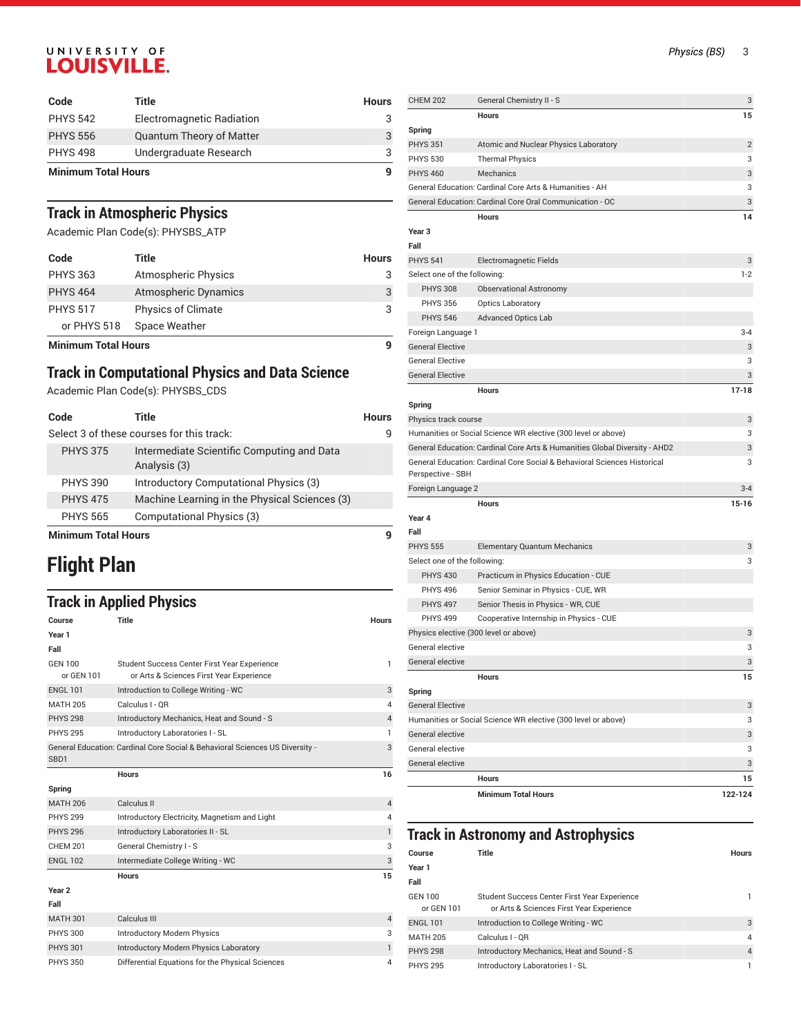| Code                       | Title                           | <b>Hours</b> |
|----------------------------|---------------------------------|--------------|
| <b>PHYS 542</b>            | Electromagnetic Radiation       |              |
| <b>PHYS 556</b>            | <b>Quantum Theory of Matter</b> |              |
| <b>PHYS 498</b>            | Undergraduate Research          |              |
| <b>Minimum Total Hours</b> |                                 | q            |

## **Track in Atmospheric Physics**

Academic Plan Code(s): PHYSBS\_ATP

| Code                       | Title                       | <b>Hours</b> |
|----------------------------|-----------------------------|--------------|
| <b>PHYS 363</b>            | <b>Atmospheric Physics</b>  | 3            |
| <b>PHYS 464</b>            | <b>Atmospheric Dynamics</b> | 3            |
| <b>PHYS 517</b>            | <b>Physics of Climate</b>   | 3            |
| or PHYS 518                | Space Weather               |              |
| <b>Minimum Total Hours</b> |                             |              |

## **Track in Computational Physics and Data Science**

Academic Plan Code(s): PHYSBS\_CDS

| Code            | Title                                                      | <b>Hours</b> |
|-----------------|------------------------------------------------------------|--------------|
|                 | Select 3 of these courses for this track:                  |              |
| <b>PHYS 375</b> | Intermediate Scientific Computing and Data<br>Analysis (3) |              |
| <b>PHYS 390</b> | Introductory Computational Physics (3)                     |              |
| <b>PHYS 475</b> | Machine Learning in the Physical Sciences (3)              |              |
| <b>PHYS 565</b> | Computational Physics (3)                                  |              |
|                 |                                                            |              |

**Minimum Total Hours 9**

# **Flight Plan**

## **Track in Applied Physics**

| Course                       | <b>Title</b>                                                                             | <b>Hours</b>   |
|------------------------------|------------------------------------------------------------------------------------------|----------------|
| Year 1                       |                                                                                          |                |
| Fall                         |                                                                                          |                |
| <b>GEN 100</b><br>or GEN 101 | Student Success Center First Year Experience<br>or Arts & Sciences First Year Experience | 1              |
| <b>ENGL 101</b>              | Introduction to College Writing - WC                                                     | 3              |
| <b>MATH 205</b>              | Calculus I - OR                                                                          | 4              |
| <b>PHYS 298</b>              | Introductory Mechanics, Heat and Sound - S                                               | $\overline{4}$ |
| <b>PHYS 295</b>              | Introductory Laboratories I - SL                                                         |                |
| SB <sub>D1</sub>             | General Education: Cardinal Core Social & Behavioral Sciences US Diversity -             | 3              |
|                              | <b>Hours</b>                                                                             | 16             |
| Spring                       |                                                                                          |                |
| <b>MATH 206</b>              | Calculus II                                                                              | 4              |
| <b>PHYS 299</b>              | Introductory Electricity, Magnetism and Light                                            | 4              |
| <b>PHYS 296</b>              | Introductory Laboratories II - SL                                                        | $\mathbf{1}$   |
| <b>CHEM 201</b>              | General Chemistry I - S                                                                  | 3              |
| <b>ENGL 102</b>              | Intermediate College Writing - WC                                                        | 3              |
|                              | <b>Hours</b>                                                                             | 15             |
| Year <sub>2</sub>            |                                                                                          |                |
| Fall                         |                                                                                          |                |
| <b>MATH 301</b>              | Calculus III                                                                             | $\overline{4}$ |
| <b>PHYS 300</b>              | <b>Introductory Modern Physics</b>                                                       | 3              |
| <b>PHYS 301</b>              | <b>Introductory Modern Physics Laboratory</b>                                            | $\mathbf{1}$   |
| <b>PHYS 350</b>              | Differential Equations for the Physical Sciences                                         | 4              |

| <b>CHEM 202</b>                       | General Chemistry II - S                                                   | 3              |
|---------------------------------------|----------------------------------------------------------------------------|----------------|
|                                       | Hours                                                                      | 15             |
| Spring                                |                                                                            |                |
| <b>PHYS 351</b>                       | Atomic and Nuclear Physics Laboratory                                      | $\overline{2}$ |
| <b>PHYS 530</b>                       | <b>Thermal Physics</b>                                                     | 3              |
| <b>PHYS 460</b>                       | Mechanics                                                                  | 3              |
|                                       | General Education: Cardinal Core Arts & Humanities - AH                    | 3              |
|                                       | General Education: Cardinal Core Oral Communication - OC                   | 3              |
|                                       | <b>Hours</b>                                                               | 14             |
| Year 3                                |                                                                            |                |
| Fall                                  |                                                                            |                |
| <b>PHYS 541</b>                       | Electromagnetic Fields                                                     | 3              |
| Select one of the following:          |                                                                            | $1 - 2$        |
| <b>PHYS 308</b>                       | Observational Astronomy                                                    |                |
| <b>PHYS 356</b>                       | <b>Optics Laboratory</b>                                                   |                |
| <b>PHYS 546</b>                       | <b>Advanced Optics Lab</b>                                                 |                |
| Foreign Language 1                    |                                                                            | $3 - 4$        |
| <b>General Elective</b>               |                                                                            | 3              |
| <b>General Elective</b>               |                                                                            | 3              |
| <b>General Elective</b>               |                                                                            | 3              |
|                                       | <b>Hours</b>                                                               | $17 - 18$      |
| Spring                                |                                                                            |                |
| Physics track course                  |                                                                            | 3              |
|                                       | Humanities or Social Science WR elective (300 level or above)              | 3              |
|                                       | General Education: Cardinal Core Arts & Humanities Global Diversity - AHD2 | 3              |
| Perspective - SBH                     | General Education: Cardinal Core Social & Behavioral Sciences Historical   | 3              |
| Foreign Language 2                    |                                                                            | $3 - 4$        |
|                                       | <b>Hours</b>                                                               | $15 - 16$      |
| Year 4                                |                                                                            |                |
| Fall                                  |                                                                            |                |
| <b>PHYS 555</b>                       | <b>Elementary Quantum Mechanics</b>                                        | 3              |
| Select one of the following:          |                                                                            | 3              |
| <b>PHYS 430</b>                       | Practicum in Physics Education - CUE                                       |                |
| <b>PHYS 496</b>                       | Senior Seminar in Physics - CUE, WR                                        |                |
| <b>PHYS 497</b>                       | Senior Thesis in Physics - WR, CUE                                         |                |
| <b>PHYS 499</b>                       | Cooperative Internship in Physics - CUE                                    |                |
| Physics elective (300 level or above) |                                                                            | 3              |
| General elective                      |                                                                            | 3              |
| General elective                      |                                                                            | 3              |
|                                       | <b>Hours</b>                                                               | 15             |
| Spring                                |                                                                            |                |
| <b>General Elective</b>               |                                                                            | 3              |
|                                       | Humanities or Social Science WR elective (300 level or above)              | 3              |
| General elective                      |                                                                            | 3              |
| General elective                      |                                                                            | 3              |
| General elective                      |                                                                            | 3              |
|                                       | Hours                                                                      | 15             |
|                                       | <b>Minimum Total Hours</b>                                                 | 122-124        |

#### **Track in Astronomy and Astrophysics**

| Course                       | Title                                                                                    | <b>Hours</b>   |
|------------------------------|------------------------------------------------------------------------------------------|----------------|
| Year 1                       |                                                                                          |                |
| Fall                         |                                                                                          |                |
| <b>GEN 100</b><br>or GEN 101 | Student Success Center First Year Experience<br>or Arts & Sciences First Year Experience |                |
| <b>ENGL 101</b>              | Introduction to College Writing - WC                                                     | 3              |
| <b>MATH 205</b>              | Calculus I - OR                                                                          | 4              |
| <b>PHYS 298</b>              | Introductory Mechanics, Heat and Sound - S                                               | $\overline{4}$ |
| <b>PHYS 295</b>              | Introductory Laboratories I - SL                                                         |                |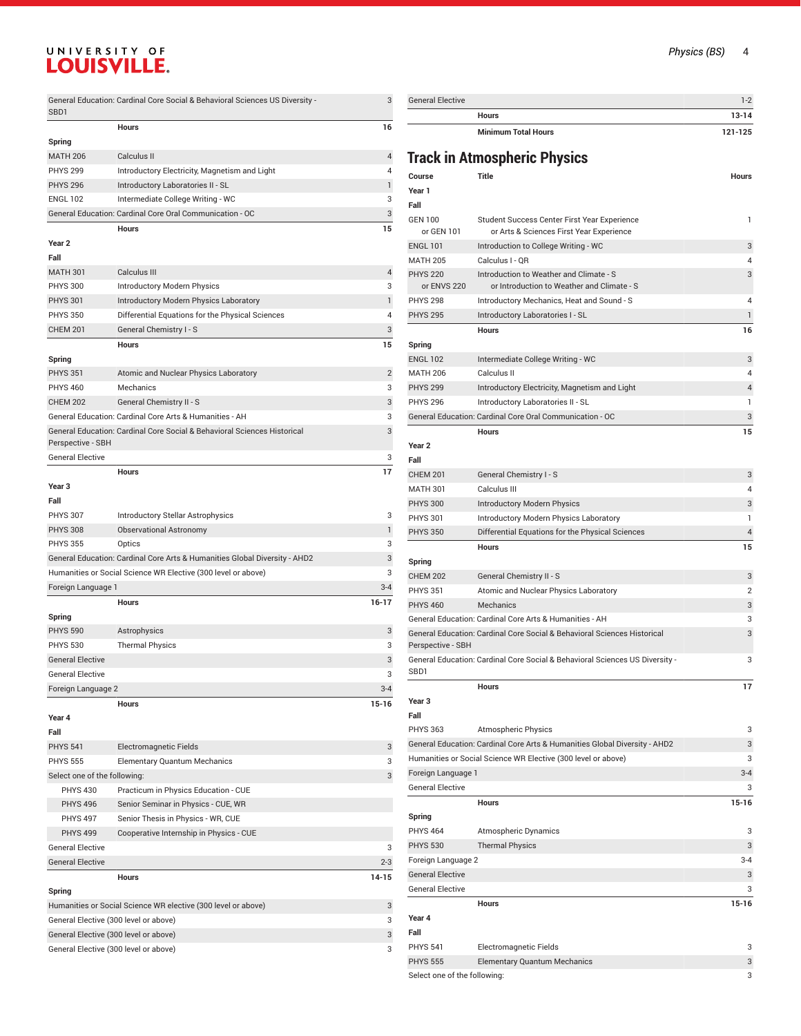|                              | General Education: Cardinal Core Social & Behavioral Sciences US Diversity - | 3              |
|------------------------------|------------------------------------------------------------------------------|----------------|
| SBD1                         |                                                                              |                |
|                              | <b>Hours</b>                                                                 | 16             |
| Spring                       |                                                                              |                |
| <b>MATH 206</b>              | Calculus II                                                                  | 4              |
| <b>PHYS 299</b>              | Introductory Electricity, Magnetism and Light                                | 4              |
| <b>PHYS 296</b>              | Introductory Laboratories II - SL                                            | 1              |
| <b>ENGL 102</b>              | Intermediate College Writing - WC                                            | 3              |
|                              | General Education: Cardinal Core Oral Communication - OC                     | 3              |
| Year <sub>2</sub>            | <b>Hours</b>                                                                 | 15             |
| Fall                         |                                                                              |                |
| <b>MATH 301</b>              | Calculus III                                                                 | 4              |
| <b>PHYS 300</b>              | Introductory Modern Physics                                                  | 3              |
| <b>PHYS 301</b>              | Introductory Modern Physics Laboratory                                       | 1              |
| <b>PHYS 350</b>              | Differential Equations for the Physical Sciences                             | 4              |
| <b>CHEM 201</b>              | General Chemistry I - S                                                      | 3              |
|                              | <b>Hours</b>                                                                 | 15             |
| Spring                       |                                                                              |                |
| <b>PHYS 351</b>              | Atomic and Nuclear Physics Laboratory                                        | $\overline{2}$ |
| <b>PHYS 460</b>              | Mechanics                                                                    | 3              |
| <b>CHEM 202</b>              | General Chemistry II - S                                                     | 3              |
|                              | General Education: Cardinal Core Arts & Humanities - AH                      | 3              |
|                              | General Education: Cardinal Core Social & Behavioral Sciences Historical     | 3              |
| Perspective - SBH            |                                                                              |                |
| <b>General Elective</b>      |                                                                              | 3              |
|                              | <b>Hours</b>                                                                 | 17             |
| Year <sub>3</sub>            |                                                                              |                |
| Fall                         |                                                                              |                |
| <b>PHYS 307</b>              | <b>Introductory Stellar Astrophysics</b>                                     | 3              |
| <b>PHYS 308</b>              | <b>Observational Astronomy</b>                                               | 1              |
| <b>PHYS 355</b>              | Optics                                                                       | 3              |
|                              | General Education: Cardinal Core Arts & Humanities Global Diversity - AHD2   | 3              |
|                              | Humanities or Social Science WR Elective (300 level or above)                | 3              |
| Foreign Language 1           |                                                                              | $3 - 4$        |
|                              | <b>Hours</b>                                                                 | 16-17          |
| Spring                       |                                                                              |                |
| <b>PHYS 590</b>              | Astrophysics                                                                 | 3              |
| <b>PHYS 530</b>              | <b>Thermal Physics</b>                                                       | 3              |
| <b>General Elective</b>      |                                                                              | 3              |
| <b>General Elective</b>      |                                                                              | 3              |
| Foreign Language 2           |                                                                              | $3 - 4$        |
|                              | <b>Hours</b>                                                                 | $15-16$        |
| Year 4                       |                                                                              |                |
| Fall                         |                                                                              |                |
| <b>PHYS 541</b>              | Electromagnetic Fields                                                       | 3              |
| <b>PHYS 555</b>              | <b>Elementary Quantum Mechanics</b>                                          | 3              |
| Select one of the following: |                                                                              | 3              |
| <b>PHYS 430</b>              | Practicum in Physics Education - CUE                                         |                |
| <b>PHYS 496</b>              | Senior Seminar in Physics - CUE, WR                                          |                |
| <b>PHYS 497</b>              | Senior Thesis in Physics - WR, CUE                                           |                |
| <b>PHYS 499</b>              | Cooperative Internship in Physics - CUE                                      |                |
| <b>General Elective</b>      |                                                                              | 3              |
| <b>General Elective</b>      |                                                                              | $2 - 3$        |
|                              | <b>Hours</b>                                                                 | 14-15          |
| Spring                       |                                                                              |                |
|                              | Humanities or Social Science WR elective (300 level or above)                | 3              |
|                              | General Elective (300 level or above)                                        | 3              |
|                              | General Elective (300 level or above)                                        | 3              |
|                              | General Elective (300 level or above)                                        | 3              |

| <b>General Elective</b>    | $1-2$     |
|----------------------------|-----------|
| <b>Hours</b>               | $13 - 14$ |
| <b>Minimum Total Hours</b> | 121-125   |

## **Track in Atmospheric Physics**

|                                | maan in Ambaphena myöivä                                                                 |              |
|--------------------------------|------------------------------------------------------------------------------------------|--------------|
| Course                         | <b>Title</b>                                                                             | <b>Hours</b> |
| Year 1                         |                                                                                          |              |
| Fall                           |                                                                                          |              |
| GEN 100<br>or GEN 101          | Student Success Center First Year Experience<br>or Arts & Sciences First Year Experience | 1            |
| <b>ENGL 101</b>                | Introduction to College Writing - WC                                                     | 3            |
| <b>MATH 205</b>                | Calculus I - QR                                                                          | 4            |
| <b>PHYS 220</b><br>or ENVS 220 | Introduction to Weather and Climate - S<br>or Introduction to Weather and Climate - S    | 3            |
| <b>PHYS 298</b>                | Introductory Mechanics, Heat and Sound - S                                               | 4            |
| <b>PHYS 295</b>                | Introductory Laboratories I - SL                                                         | 1            |
|                                | Hours                                                                                    | 16           |
| Spring                         |                                                                                          |              |
| <b>ENGL 102</b>                | Intermediate College Writing - WC                                                        | 3            |
| <b>MATH 206</b>                | Calculus II                                                                              | 4            |
| <b>PHYS 299</b>                | Introductory Electricity, Magnetism and Light                                            | 4            |
| <b>PHYS 296</b>                | Introductory Laboratories II - SL                                                        | 1            |
|                                | General Education: Cardinal Core Oral Communication - OC                                 | 3            |
|                                | <b>Hours</b>                                                                             | 15           |
| Year 2                         |                                                                                          |              |
| Fall                           |                                                                                          |              |
| <b>CHEM 201</b>                | General Chemistry I - S                                                                  | 3            |
| MATH 301                       | Calculus III                                                                             | 4            |
| PHYS 300                       | <b>Introductory Modern Physics</b>                                                       | 3            |
| <b>PHYS 301</b>                | Introductory Modern Physics Laboratory                                                   | 1            |
| <b>PHYS 350</b>                | Differential Equations for the Physical Sciences                                         | 4            |
|                                | <b>Hours</b>                                                                             | 15           |
| Spring                         |                                                                                          |              |
| <b>CHEM 202</b>                | General Chemistry II - S                                                                 | 3            |
| <b>PHYS 351</b>                | Atomic and Nuclear Physics Laboratory                                                    | 2            |
| <b>PHYS 460</b>                | Mechanics                                                                                | 3            |
|                                | General Education: Cardinal Core Arts & Humanities - AH                                  | 3            |
| Perspective - SBH              | General Education: Cardinal Core Social & Behavioral Sciences Historical                 | 3            |
| SBD1                           | General Education: Cardinal Core Social & Behavioral Sciences US Diversity -             | 3            |
|                                | <b>Hours</b>                                                                             | 17           |
| Year 3                         |                                                                                          |              |
| Fall                           |                                                                                          |              |
| <b>PHYS 363</b>                | <b>Atmospheric Physics</b>                                                               | 3            |
|                                | General Education: Cardinal Core Arts & Humanities Global Diversity - AHD2               | 3            |
|                                | Humanities or Social Science WR Elective (300 level or above)                            | 3            |
| Foreign Language 1             |                                                                                          | $3 - 4$      |
| <b>General Elective</b>        |                                                                                          | 3            |
|                                | <b>Hours</b>                                                                             | 15-16        |
| Spring                         |                                                                                          |              |
| <b>PHYS 464</b>                | Atmospheric Dynamics                                                                     | 3            |
| <b>PHYS 530</b>                | <b>Thermal Physics</b>                                                                   | 3            |
| Foreign Language 2             |                                                                                          | $3 - 4$      |
| <b>General Elective</b>        |                                                                                          | 3            |
| <b>General Elective</b>        |                                                                                          | 3            |
|                                | Hours                                                                                    | 15-16        |
| Year 4                         |                                                                                          |              |
| Fall                           |                                                                                          |              |
| <b>PHYS 541</b>                | Electromagnetic Fields                                                                   | 3            |
| <b>PHYS 555</b>                | <b>Elementary Quantum Mechanics</b>                                                      | 3            |
| Select one of the following:   |                                                                                          | 3            |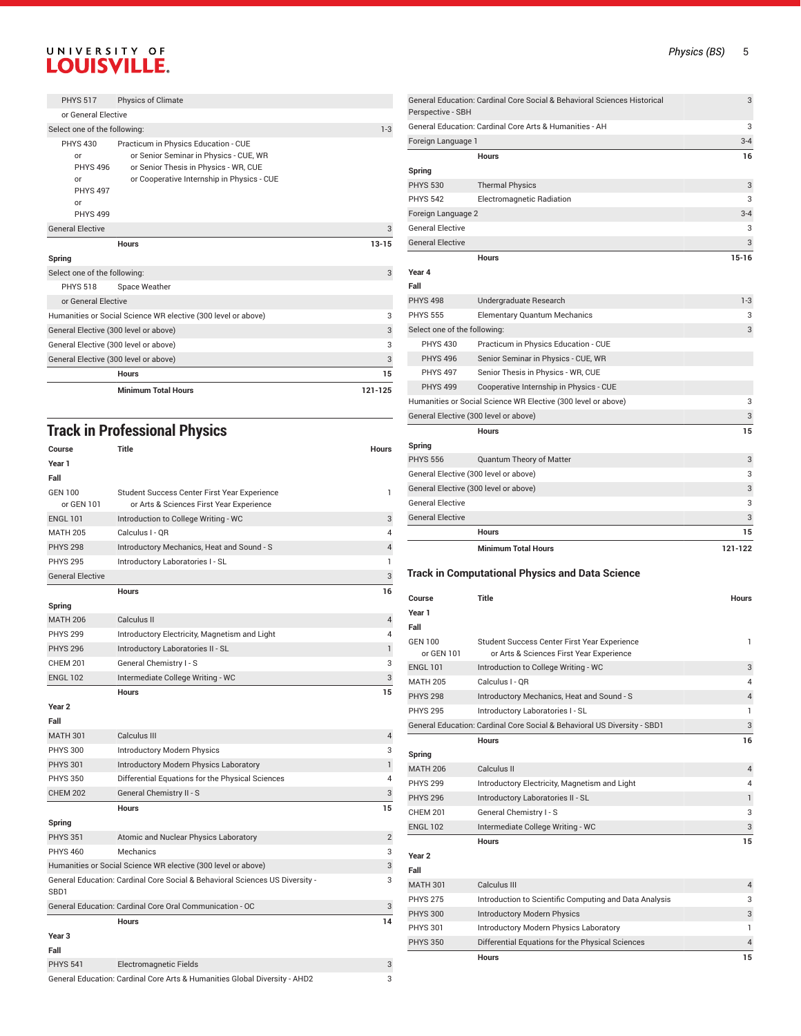| <b>PHYS 517</b>                                                                            | Physics of Climate                                                                                                                                                    |           |
|--------------------------------------------------------------------------------------------|-----------------------------------------------------------------------------------------------------------------------------------------------------------------------|-----------|
| or General Elective                                                                        |                                                                                                                                                                       |           |
| Select one of the following:                                                               |                                                                                                                                                                       | $1 - 3$   |
| <b>PHYS 430</b><br>or<br><b>PHYS 496</b><br>or<br><b>PHYS 497</b><br>or<br><b>PHYS 499</b> | Practicum in Physics Education - CUE<br>or Senior Seminar in Physics - CUE, WR<br>or Senior Thesis in Physics - WR, CUE<br>or Cooperative Internship in Physics - CUE |           |
| <b>General Elective</b>                                                                    |                                                                                                                                                                       | 3         |
|                                                                                            | Hours                                                                                                                                                                 | $13 - 15$ |
| Spring                                                                                     |                                                                                                                                                                       |           |
| Select one of the following:                                                               |                                                                                                                                                                       | 3         |
| <b>PHYS 518</b>                                                                            | Space Weather                                                                                                                                                         |           |
| or General Elective                                                                        |                                                                                                                                                                       |           |
|                                                                                            | Humanities or Social Science WR elective (300 level or above)                                                                                                         | 3         |
| General Elective (300 level or above)                                                      |                                                                                                                                                                       | 3         |
| General Elective (300 level or above)                                                      |                                                                                                                                                                       | 3         |
| General Elective (300 level or above)                                                      |                                                                                                                                                                       | 3         |
|                                                                                            | <b>Hours</b>                                                                                                                                                          | 15        |
|                                                                                            | <b>Minimum Total Hours</b>                                                                                                                                            | 121-125   |

#### **Track in Professional Physics**

| Course<br>Year 1<br>Fall     | <b>Title</b>                                                                             | <b>Hours</b>   |
|------------------------------|------------------------------------------------------------------------------------------|----------------|
| <b>GEN 100</b><br>or GEN 101 | Student Success Center First Year Experience<br>or Arts & Sciences First Year Experience | 1              |
| <b>ENGL 101</b>              | Introduction to College Writing - WC                                                     | 3              |
| <b>MATH 205</b>              | Calculus I - OR                                                                          | 4              |
| <b>PHYS 298</b>              | Introductory Mechanics, Heat and Sound - S                                               | 4              |
| <b>PHYS 295</b>              | Introductory Laboratories I - SL                                                         | 1              |
| <b>General Elective</b>      |                                                                                          | 3              |
|                              | <b>Hours</b>                                                                             | 16             |
| Spring                       |                                                                                          |                |
| <b>MATH 206</b>              | Calculus II                                                                              | 4              |
| <b>PHYS 299</b>              | Introductory Electricity, Magnetism and Light                                            | 4              |
| <b>PHYS 296</b>              | Introductory Laboratories II - SL                                                        | $\mathbf{1}$   |
| <b>CHEM 201</b>              | General Chemistry I - S                                                                  | 3              |
| <b>ENGL 102</b>              | Intermediate College Writing - WC                                                        | 3              |
|                              | <b>Hours</b>                                                                             | 15             |
| Year <sub>2</sub>            |                                                                                          |                |
| Fall                         |                                                                                          |                |
| <b>MATH 301</b>              | Calculus III                                                                             | 4              |
| <b>PHYS 300</b>              | Introductory Modern Physics                                                              | 3              |
| <b>PHYS 301</b>              | Introductory Modern Physics Laboratory                                                   | $\mathbf{1}$   |
| <b>PHYS 350</b>              | Differential Equations for the Physical Sciences                                         | 4              |
| <b>CHEM 202</b>              | General Chemistry II - S                                                                 | 3              |
|                              | <b>Hours</b>                                                                             | 15             |
| Spring                       |                                                                                          |                |
| <b>PHYS 351</b>              | Atomic and Nuclear Physics Laboratory                                                    | $\overline{2}$ |
| <b>PHYS 460</b>              | Mechanics                                                                                | 3              |
|                              | Humanities or Social Science WR elective (300 level or above)                            | 3              |
| SBD1                         | General Education: Cardinal Core Social & Behavioral Sciences US Diversity -             | 3              |
|                              | General Education: Cardinal Core Oral Communication - OC                                 | 3              |
|                              | <b>Hours</b>                                                                             | 14             |
| Year <sub>3</sub><br>Fall    |                                                                                          |                |
| <b>PHYS 541</b>              | Electromagnetic Fields                                                                   | 3              |
|                              | General Education: Cardinal Core Arts & Humanities Global Diversity - AHD2               | 3              |

General Elective 3 **Hours 15-16** PHYS 498 Undergraduate Research 1-3 PHYS 555 Elementary Quantum Mechanics 3 Select one of the following: 3 PHYS 430 Practicum in Physics Education - CUE PHYS 496 Senior Seminar in Physics - CUE, WR PHYS 497 Senior Thesis in Physics - WR, CUE PHYS 499 Cooperative Internship in Physics - CUE Humanities or Social Science WR Elective (300 level or above) 3 General Elective (300 level or above) 3 **Hours 15** PHYS 556 Quantum Theory of Matter 3 Communication Communication 3 General Elective (300 level or above) 3 General Elective (300 level or above) 3 General Elective 3 General Elective 3 **Hours 15 Minimum Total Hours 121-122 Track in Computational Physics and Data Science Course Title Hours** Student Success Center First Year Experience or Arts & Sciences First Year Experience ENGL 101 Introduction to College Writing - WC 3 MATH 205 Calculus I - QR<br>PHYS 298 Introductory Mechanics. Heat and Sound - S PHYS 298 Introductory Mechanics, Heat and Sound - S 4

General Education: Cardinal Core Social & Behavioral Sciences Historical

General Education: Cardinal Core Arts & Humanities - AH Foreign Language 1 3-4

PHYS 530 Thermal Physics 3 and 3 and 3 and 3 and 3 and 3 and 3 and 3 and 3 and 3 and 3 and 3 and 3 and 3 and 3 and 3 and 3 and 3 and 3 and 3 and 3 and 3 and 3 and 3 and 3 and 3 and 3 and 3 and 3 and 3 and 3 and 3 and 3 and PHYS 542 Electromagnetic Radiation 3 Foreign Language 2 3-4 General Elective 3

**Hours 16**

Perspective - SBH

**Spring**

**Year 4 Fall**

**Spring**

**Year 1 Fall** GEN 100 or GEN 101

| PH 15 298         | mtroductory mechanics, Heat and Sound - S                                | $^{4}$         |
|-------------------|--------------------------------------------------------------------------|----------------|
| <b>PHYS 295</b>   | Introductory Laboratories I - SL                                         | 1              |
|                   | General Education: Cardinal Core Social & Behavioral US Diversity - SBD1 | 3              |
|                   | <b>Hours</b>                                                             | 16             |
| Spring            |                                                                          |                |
| <b>MATH 206</b>   | Calculus II                                                              | $\overline{4}$ |
| <b>PHYS 299</b>   | Introductory Electricity, Magnetism and Light                            | 4              |
| <b>PHYS 296</b>   | Introductory Laboratories II - SL                                        | 1              |
| <b>CHEM 201</b>   | General Chemistry I - S                                                  | 3              |
| <b>ENGL 102</b>   | Intermediate College Writing - WC                                        | 3              |
|                   | <b>Hours</b>                                                             | 15             |
| Year <sub>2</sub> |                                                                          |                |
| Fall              |                                                                          |                |
| <b>MATH 301</b>   | Calculus III                                                             | $\overline{4}$ |
| <b>PHYS 275</b>   | Introduction to Scientific Computing and Data Analysis                   | 3              |
| <b>PHYS 300</b>   | <b>Introductory Modern Physics</b>                                       | 3              |
| <b>PHYS 301</b>   | Introductory Modern Physics Laboratory                                   | 1              |
| <b>PHYS 350</b>   | Differential Equations for the Physical Sciences                         | 4              |
|                   | <b>Hours</b>                                                             | 15             |

3

1